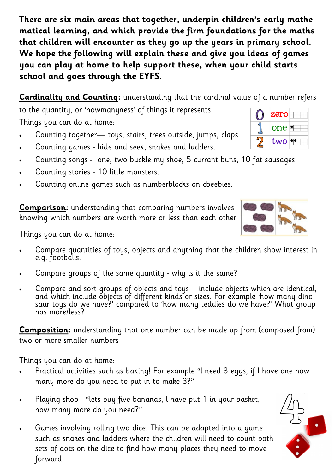**There are six main areas that together, underpin children's early mathematical learning, and which provide the firm foundations for the maths that children will encounter as they go up the years in primary school. We hope the following will explain these and give you ideas of games you can play at home to help support these, when your child starts school and goes through the EYFS.** 

**[Cardinality and Counting:](https://www.ncetm.org.uk/resources/52502)** understanding that the cardinal value of a number refers

to the quantity, or 'howmanyness' of things it represents Things you can do at home:

- Counting together— toys, stairs, trees outside, jumps, claps.
- Counting games hide and seek, snakes and ladders.
- Counting songs one, two buckle my shoe, 5 currant buns, 10 fat sausages.
- Counting stories 10 little monsters.
- Counting online games such as numberblocks on cbeebies.

**[Comparison:](https://www.ncetm.org.uk/resources/52501)** understanding that comparing numbers involves knowing which numbers are worth more or less than each other

Things you can do at home:

- Compare quantities of toys, objects and anything that the children show interest in e.g. footballs.
- Compare groups of the same quantity why is it the same?
- Compare and sort groups of objects and toys include objects which are identical, and which include objects of different kinds or sizes. For example 'how many dinosaur toys do we have?' compared to 'how many teddies do we have?' What group has more/less?

**[Composition:](https://www.ncetm.org.uk/resources/52503)** understanding that one number can be made up from (composed from) two or more smaller numbers

Things you can do at home:

- Practical activities such as baking! For example "l need 3 eggs, if l have one how many more do you need to put in to make 3?"
- Playing shop "lets buy five bananas, l have put 1 in your basket, how many more do you need?"
- Games involving rolling two dice. This can be adapted into a game such as snakes and ladders where the children will need to count both sets of dots on the dice to find how many places they need to move forward.





 $\overline{\text{zero}}$   $\overline{\text{+++}}$ 

one

 $two$   $\rightarrow$